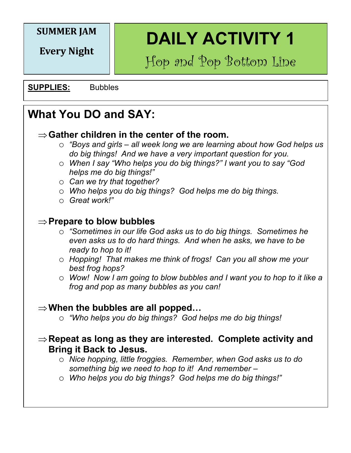#### **SUMMER JAM**

**Every Night**

**DAILY ACTIVITY 1**

Hop and Pop Bottom Line

**SUPPLIES:** Bubbles

# **What You DO and SAY:**

- $\Rightarrow$  Gather children in the center of the room.
	- o *"Boys and girls – all week long we are learning about how God helps us do big things! And we have a very important question for you.*
	- o *When I say "Who helps you do big things?" I want you to say "God helps me do big things!"*
	- o *Can we try that together?*
	- o *Who helps you do big things? God helps me do big things.*
	- o *Great work!"*

#### Þ**Prepare to blow bubbles**

- o *"Sometimes in our life God asks us to do big things. Sometimes he even asks us to do hard things. And when he asks, we have to be ready to hop to it!*
- o *Hopping! That makes me think of frogs! Can you all show me your best frog hops?*
- o *Wow! Now I am going to blow bubbles and I want you to hop to it like a frog and pop as many bubbles as you can!*

#### $\Rightarrow$  **When the bubbles are all popped...**

o *"Who helps you do big things? God helps me do big things!*

#### $\Rightarrow$  **Repeat as long as they are interested. Complete activity and Bring it Back to Jesus.**

- o *Nice hopping, little froggies. Remember, when God asks us to do something big we need to hop to it! And remember –*
- o *Who helps you do big things? God helps me do big things!"*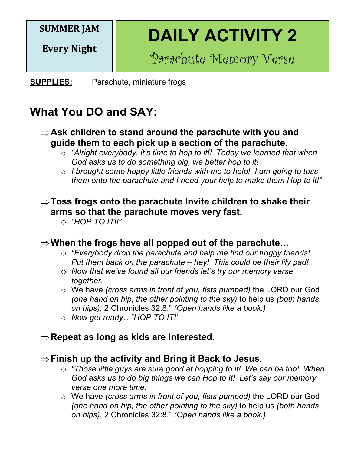## **SUMMER JAM**

**Every Night**

**DAILY ACTIVITY 2**

Parachute Memory Verse

**SUPPLIES:** Parachute, miniature frogs

# **What You DO and SAY:**

- $\Rightarrow$  **Ask children to stand around the parachute with you and guide them to each pick up a section of the parachute.** 
	- o *"Alright everybody, it's time to hop to it!! Today we learned that when God asks us to do something big, we better hop to it!*
	- o *I brought some hoppy little friends with me to help! I am going to toss them onto the parachute and I need your help to make them Hop to it!"*

#### $\Rightarrow$  **Toss frogs onto the parachute Invite children to shake their arms so that the parachute moves very fast.**

o *"HOP TO IT!!"*

## $\Rightarrow$  **When the frogs have all popped out of the parachute...**

- **o** *"Everybody drop the parachute and help me find our froggy friends! Put them back on the parachute – hey! This could be their lily pad!*
	- o *Now that we've found all our friends let's try our memory verse together.*

o We have *(cross arms in front of you, fists pumped)* the LORD our God *(one hand on hip, the other pointing to the sky)* to help us *(both hands on hips), 2 Chronicles 32:8." (Open hands like a book.)* 

o *Now get ready…"HOP TO IT!"*

#### $\Rightarrow$  **Repeat as long as kids are interested.**

#### $\Rightarrow$  Finish up the activity and Bring it Back to Jesus.

- o *"Those little guys are sure good at hopping to it! We can be too! When God asks us to do big things we can Hop to It! Let's say our memory verse one more time.*
- o We have *(cross arms in front of you, fists pumped)* the LORD our God *(one hand on hip, the other pointing to the sky)* to help us *(both hands on hips)*, 2 Chronicles 32:8." *(Open hands like a book.)*